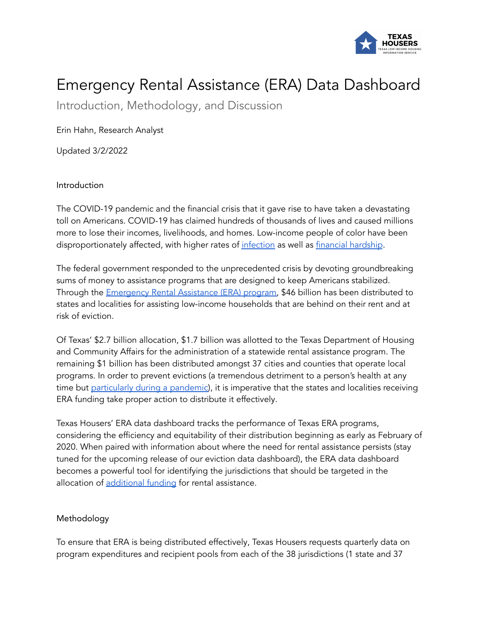

## Emergency Rental Assistance (ERA) Data Dashboard

Introduction, Methodology, and Discussion

Erin Hahn, Research Analyst

Updated 3/2/2022

## Introduction

The COVID-19 pandemic and the financial crisis that it gave rise to have taken a devastating toll on Americans. COVID-19 has claimed hundreds of thousands of lives and caused millions more to lose their incomes, livelihoods, and homes. Low-income people of color have been disproportionately affected, with higher rates of [infection](https://www.cdc.gov/coronavirus/2019-ncov/community/health-equity/race-ethnicity.html) as well as financial [hardship](https://www.urban.org/urban-wire/economic-hardships-covid-19-are-hitting-black-and-latinx-people-hardest-here-are-five-actions-local-leaders-can-take).

The federal government responded to the unprecedented crisis by devoting groundbreaking sums of money to assistance programs that are designed to keep Americans stabilized. Through the [Emergency](https://home.treasury.gov/policy-issues/coronavirus/assistance-for-state-local-and-tribal-governments/emergency-rental-assistance-program) Rental Assistance (ERA) program, \$46 billion has been distributed to states and localities for assisting low-income households that are behind on their rent and at risk of eviction.

Of Texas' \$2.7 billion allocation, \$1.7 billion was allotted to the Texas Department of Housing and Community Affairs for the administration of a statewide rental assistance program. The remaining \$1 billion has been distributed amongst 37 cities and counties that operate local programs. In order to prevent evictions (a tremendous detriment to a person's health at any time but [particularly](https://publicintegrity.org/inside-publici/newsletters/watchdog-newsletter/consequences-of-covid-evictions/) during a pandemic), it is imperative that the states and localities receiving ERA funding take proper action to distribute it effectively.

Texas Housers' ERA data dashboard tracks the performance of Texas ERA programs, considering the efficiency and equitability of their distribution beginning as early as February of 2020. When paired with information about where the need for rental assistance persists (stay tuned for the upcoming release of our eviction data dashboard), the ERA data dashboard becomes a powerful tool for identifying the jurisdictions that should be targeted in the allocation of [additional](https://home.treasury.gov/system/files/136/Deputy-Secretary-Adeyemo-ERA-Program-Grantee-Letter-20211025.pdf) funding for rental assistance.

## Methodology

To ensure that ERA is being distributed effectively, Texas Housers requests quarterly data on program expenditures and recipient pools from each of the 38 jurisdictions (1 state and 37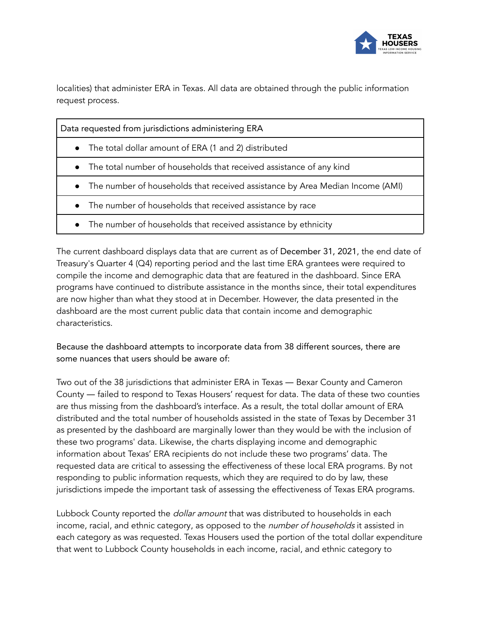

localities) that administer ERA in Texas. All data are obtained through the public information request process.

| Data requested from jurisdictions administering ERA                             |
|---------------------------------------------------------------------------------|
| • The total dollar amount of ERA (1 and 2) distributed                          |
| • The total number of households that received assistance of any kind           |
| • The number of households that received assistance by Area Median Income (AMI) |
| • The number of households that received assistance by race                     |
| • The number of households that received assistance by ethnicity                |

The current dashboard displays data that are current as of December 31, 2021, the end date of Treasury's Quarter 4 (Q4) reporting period and the last time ERA grantees were required to compile the income and demographic data that are featured in the dashboard. Since ERA programs have continued to distribute assistance in the months since, their total expenditures are now higher than what they stood at in December. However, the data presented in the dashboard are the most current public data that contain income and demographic characteristics.

Because the dashboard attempts to incorporate data from 38 different sources, there are some nuances that users should be aware of:

Two out of the 38 jurisdictions that administer ERA in Texas ― Bexar County and Cameron County ― failed to respond to Texas Housers' request for data. The data of these two counties are thus missing from the dashboard's interface. As a result, the total dollar amount of ERA distributed and the total number of households assisted in the state of Texas by December 31 as presented by the dashboard are marginally lower than they would be with the inclusion of these two programs' data. Likewise, the charts displaying income and demographic information about Texas' ERA recipients do not include these two programs' data. The requested data are critical to assessing the effectiveness of these local ERA programs. By not responding to public information requests, which they are required to do by law, these jurisdictions impede the important task of assessing the effectiveness of Texas ERA programs.

Lubbock County reported the *dollar amount* that was distributed to households in each income, racial, and ethnic category, as opposed to the *number of households* it assisted in each category as was requested. Texas Housers used the portion of the total dollar expenditure that went to Lubbock County households in each income, racial, and ethnic category to